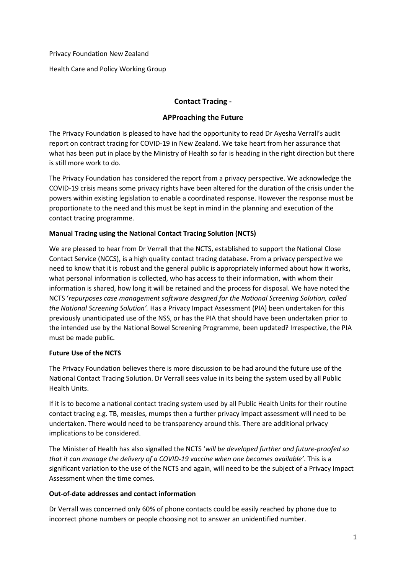Privacy Foundation New Zealand

Health Care and Policy Working Group

# **Contact Tracing -**

## **APProaching the Future**

The Privacy Foundation is pleased to have had the opportunity to read Dr Ayesha Verrall's audit report on contract tracing for COVID-19 in New Zealand. We take heart from her assurance that what has been put in place by the Ministry of Health so far is heading in the right direction but there is still more work to do.

The Privacy Foundation has considered the report from a privacy perspective. We acknowledge the COVID-19 crisis means some privacy rights have been altered for the duration of the crisis under the powers within existing legislation to enable a coordinated response. However the response must be proportionate to the need and this must be kept in mind in the planning and execution of the contact tracing programme.

## **Manual Tracing using the National Contact Tracing Solution (NCTS)**

We are pleased to hear from Dr Verrall that the NCTS, established to support the National Close Contact Service (NCCS), is a high quality contact tracing database. From a privacy perspective we need to know that it is robust and the general public is appropriately informed about how it works, what personal information is collected, who has access to their information, with whom their information is shared, how long it will be retained and the process for disposal. We have noted the NCTS '*repurposes case management software designed for the National Screening Solution, called the National Screening Solution'.* Has a Privacy Impact Assessment (PIA) been undertaken for this previously unanticipated use of the NSS, or has the PIA that should have been undertaken prior to the intended use by the National Bowel Screening Programme, been updated? Irrespective, the PIA must be made public.

## **Future Use of the NCTS**

The Privacy Foundation believes there is more discussion to be had around the future use of the National Contact Tracing Solution. Dr Verrall sees value in its being the system used by all Public Health Units.

If it is to become a national contact tracing system used by all Public Health Units for their routine contact tracing e.g. TB, measles, mumps then a further privacy impact assessment will need to be undertaken. There would need to be transparency around this. There are additional privacy implications to be considered.

The Minister of Health has also signalled the NCTS '*will be developed further and future-proofed so that it can manage the delivery of a COVID-19 vaccine when one becomes available'*. This is a significant variation to the use of the NCTS and again, will need to be the subject of a Privacy Impact Assessment when the time comes.

## **Out-of-date addresses and contact information**

Dr Verrall was concerned only 60% of phone contacts could be easily reached by phone due to incorrect phone numbers or people choosing not to answer an unidentified number.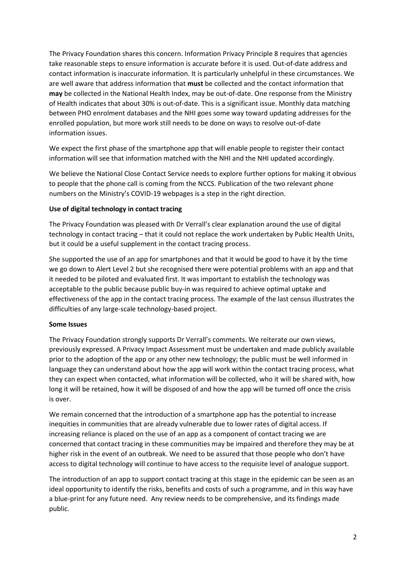The Privacy Foundation shares this concern. Information Privacy Principle 8 requires that agencies take reasonable steps to ensure information is accurate before it is used. Out-of-date address and contact information is inaccurate information. It is particularly unhelpful in these circumstances. We are well aware that address information that **must** be collected and the contact information that **may** be collected in the National Health Index, may be out-of-date. One response from the Ministry of Health indicates that about 30% is out-of-date. This is a significant issue. Monthly data matching between PHO enrolment databases and the NHI goes some way toward updating addresses for the enrolled population, but more work still needs to be done on ways to resolve out-of-date information issues.

We expect the first phase of the smartphone app that will enable people to register their contact information will see that information matched with the NHI and the NHI updated accordingly.

We believe the National Close Contact Service needs to explore further options for making it obvious to people that the phone call is coming from the NCCS. Publication of the two relevant phone numbers on the Ministry's COVID-19 webpages is a step in the right direction.

#### **Use of digital technology in contact tracing**

The Privacy Foundation was pleased with Dr Verrall's clear explanation around the use of digital technology in contact tracing – that it could not replace the work undertaken by Public Health Units, but it could be a useful supplement in the contact tracing process.

She supported the use of an app for smartphones and that it would be good to have it by the time we go down to Alert Level 2 but she recognised there were potential problems with an app and that it needed to be piloted and evaluated first. It was important to establish the technology was acceptable to the public because public buy-in was required to achieve optimal uptake and effectiveness of the app in the contact tracing process. The example of the last census illustrates the difficulties of any large-scale technology-based project.

#### **Some Issues**

The Privacy Foundation strongly supports Dr Verrall's comments. We reiterate our own views, previously expressed. A Privacy Impact Assessment must be undertaken and made publicly available prior to the adoption of the app or any other new technology; the public must be well informed in language they can understand about how the app will work within the contact tracing process, what they can expect when contacted, what information will be collected, who it will be shared with, how long it will be retained, how it will be disposed of and how the app will be turned off once the crisis is over.

We remain concerned that the introduction of a smartphone app has the potential to increase inequities in communities that are already vulnerable due to lower rates of digital access. If increasing reliance is placed on the use of an app as a component of contact tracing we are concerned that contact tracing in these communities may be impaired and therefore they may be at higher risk in the event of an outbreak. We need to be assured that those people who don't have access to digital technology will continue to have access to the requisite level of analogue support.

The introduction of an app to support contact tracing at this stage in the epidemic can be seen as an ideal opportunity to identify the risks, benefits and costs of such a programme, and in this way have a blue-print for any future need. Any review needs to be comprehensive, and its findings made public.